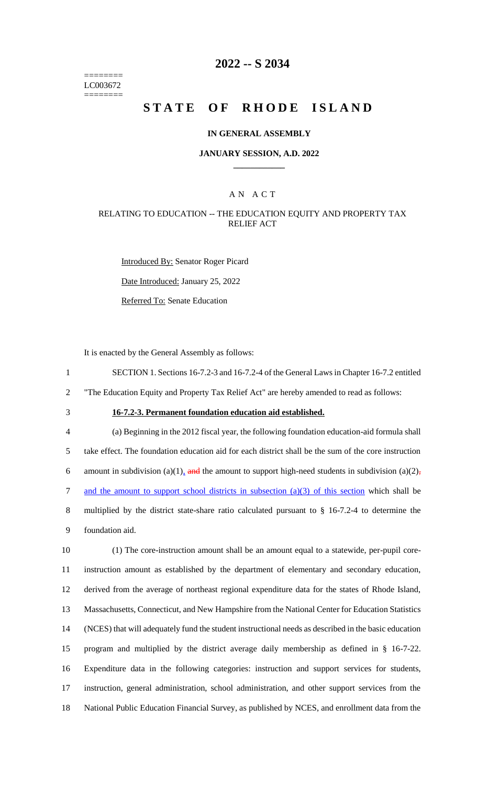======== LC003672 ========

# **2022 -- S 2034**

# **STATE OF RHODE ISLAND**

#### **IN GENERAL ASSEMBLY**

#### **JANUARY SESSION, A.D. 2022 \_\_\_\_\_\_\_\_\_\_\_\_**

## A N A C T

### RELATING TO EDUCATION -- THE EDUCATION EQUITY AND PROPERTY TAX RELIEF ACT

Introduced By: Senator Roger Picard Date Introduced: January 25, 2022 Referred To: Senate Education

It is enacted by the General Assembly as follows:

1 SECTION 1. Sections 16-7.2-3 and 16-7.2-4 of the General Laws in Chapter 16-7.2 entitled

2 "The Education Equity and Property Tax Relief Act" are hereby amended to read as follows:

# 3 **16-7.2-3. Permanent foundation education aid established.**

 (a) Beginning in the 2012 fiscal year, the following foundation education-aid formula shall take effect. The foundation education aid for each district shall be the sum of the core instruction 6 amount in subdivision (a)(1), and the amount to support high-need students in subdivision (a)(2), and the amount to support school districts in subsection (a)(3) of this section which shall be multiplied by the district state-share ratio calculated pursuant to § 16-7.2-4 to determine the foundation aid.

 (1) The core-instruction amount shall be an amount equal to a statewide, per-pupil core- instruction amount as established by the department of elementary and secondary education, derived from the average of northeast regional expenditure data for the states of Rhode Island, Massachusetts, Connecticut, and New Hampshire from the National Center for Education Statistics (NCES) that will adequately fund the student instructional needs as described in the basic education program and multiplied by the district average daily membership as defined in § 16-7-22. Expenditure data in the following categories: instruction and support services for students, instruction, general administration, school administration, and other support services from the National Public Education Financial Survey, as published by NCES, and enrollment data from the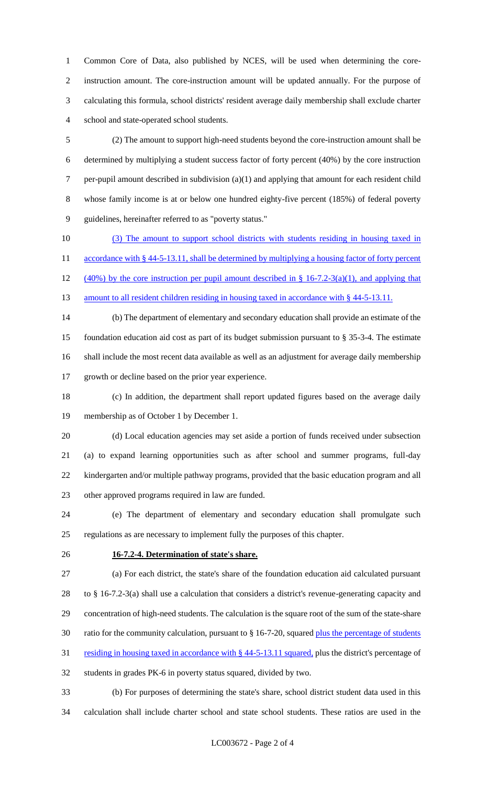Common Core of Data, also published by NCES, will be used when determining the core- instruction amount. The core-instruction amount will be updated annually. For the purpose of calculating this formula, school districts' resident average daily membership shall exclude charter school and state-operated school students.

 (2) The amount to support high-need students beyond the core-instruction amount shall be determined by multiplying a student success factor of forty percent (40%) by the core instruction 7 per-pupil amount described in subdivision (a)(1) and applying that amount for each resident child whose family income is at or below one hundred eighty-five percent (185%) of federal poverty guidelines, hereinafter referred to as "poverty status."

 (3) The amount to support school districts with students residing in housing taxed in 11 accordance with § 44-5-13.11, shall be determined by multiplying a housing factor of forty percent 12 (40%) by the core instruction per pupil amount described in  $\S$  16-7.2-3(a)(1), and applying that 13 amount to all resident children residing in housing taxed in accordance with § 44-5-13.11.

 (b) The department of elementary and secondary education shall provide an estimate of the foundation education aid cost as part of its budget submission pursuant to § 35-3-4. The estimate shall include the most recent data available as well as an adjustment for average daily membership growth or decline based on the prior year experience.

 (c) In addition, the department shall report updated figures based on the average daily membership as of October 1 by December 1.

 (d) Local education agencies may set aside a portion of funds received under subsection (a) to expand learning opportunities such as after school and summer programs, full-day kindergarten and/or multiple pathway programs, provided that the basic education program and all other approved programs required in law are funded.

 (e) The department of elementary and secondary education shall promulgate such regulations as are necessary to implement fully the purposes of this chapter.

### **16-7.2-4. Determination of state's share.**

 (a) For each district, the state's share of the foundation education aid calculated pursuant to § 16-7.2-3(a) shall use a calculation that considers a district's revenue-generating capacity and concentration of high-need students. The calculation is the square root of the sum of the state-share ratio for the community calculation, pursuant to § 16-7-20, squared plus the percentage of students

31 residing in housing taxed in accordance with § 44-5-13.11 squared, plus the district's percentage of

students in grades PK-6 in poverty status squared, divided by two.

 (b) For purposes of determining the state's share, school district student data used in this calculation shall include charter school and state school students. These ratios are used in the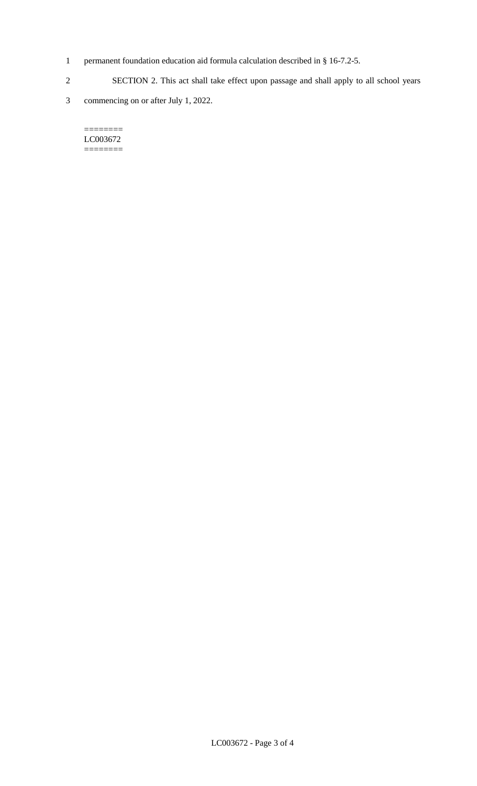- 1 permanent foundation education aid formula calculation described in § 16-7.2-5.
- 2 SECTION 2. This act shall take effect upon passage and shall apply to all school years
- 3 commencing on or after July 1, 2022.

#### $=$ LC003672 ========